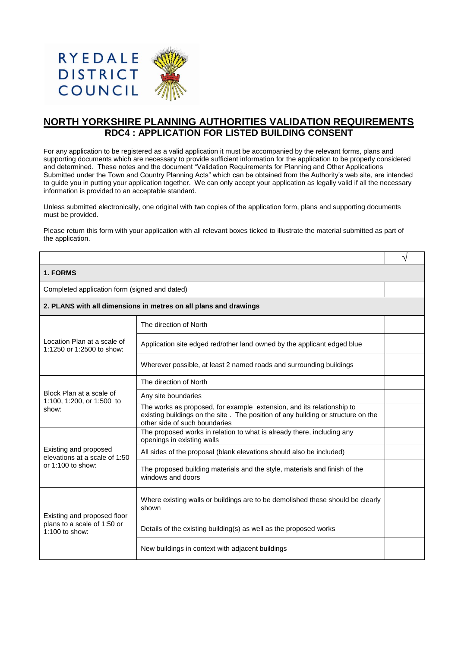

## **NORTH YORKSHIRE PLANNING AUTHORITIES VALIDATION REQUIREMENTS RDC4 : APPLICATION FOR LISTED BUILDING CONSENT**

For any application to be registered as a valid application it must be accompanied by the relevant forms, plans and supporting documents which are necessary to provide sufficient information for the application to be properly considered and determined. These notes and the document "Validation Requirements for Planning and Other Applications Submitted under the Town and Country Planning Acts" which can be obtained from the Authority's web site, are intended to guide you in putting your application together. We can only accept your application as legally valid if all the necessary information is provided to an acceptable standard.

Unless submitted electronically, one original with two copies of the application form, plans and supporting documents must be provided.

Please return this form with your application with all relevant boxes ticked to illustrate the material submitted as part of the application.

√

## **1. FORMS**

Completed application form (signed and dated)

**2. PLANS with all dimensions in metres on all plans and drawings**

| Location Plan at a scale of<br>1:1250 or 1:2500 to show:                       | The direction of North                                                                                                                                                                     |  |
|--------------------------------------------------------------------------------|--------------------------------------------------------------------------------------------------------------------------------------------------------------------------------------------|--|
|                                                                                | Application site edged red/other land owned by the applicant edged blue                                                                                                                    |  |
|                                                                                | Wherever possible, at least 2 named roads and surrounding buildings                                                                                                                        |  |
| Block Plan at a scale of<br>1:100, 1:200, or 1:500 to<br>show:                 | The direction of North                                                                                                                                                                     |  |
|                                                                                | Any site boundaries                                                                                                                                                                        |  |
|                                                                                | The works as proposed, for example extension, and its relationship to<br>existing buildings on the site. The position of any building or structure on the<br>other side of such boundaries |  |
| Existing and proposed<br>elevations at a scale of 1:50<br>or $1:100$ to show:  | The proposed works in relation to what is already there, including any<br>openings in existing walls                                                                                       |  |
|                                                                                | All sides of the proposal (blank elevations should also be included)                                                                                                                       |  |
|                                                                                | The proposed building materials and the style, materials and finish of the<br>windows and doors                                                                                            |  |
| Existing and proposed floor<br>plans to a scale of 1:50 or<br>$1:100$ to show: | Where existing walls or buildings are to be demolished these should be clearly<br>shown                                                                                                    |  |
|                                                                                | Details of the existing building(s) as well as the proposed works                                                                                                                          |  |
|                                                                                | New buildings in context with adjacent buildings                                                                                                                                           |  |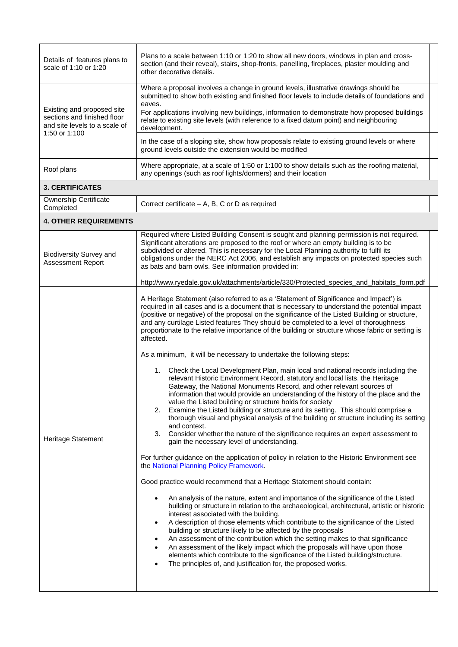| Details of features plans to<br>scale of 1:10 or 1:20                                                       | Plans to a scale between 1:10 or 1:20 to show all new doors, windows in plan and cross-<br>section (and their reveal), stairs, shop-fronts, panelling, fireplaces, plaster moulding and<br>other decorative details.                                                                                                                                                                                                                                                                                                                                                                                                                                                                                         |  |
|-------------------------------------------------------------------------------------------------------------|--------------------------------------------------------------------------------------------------------------------------------------------------------------------------------------------------------------------------------------------------------------------------------------------------------------------------------------------------------------------------------------------------------------------------------------------------------------------------------------------------------------------------------------------------------------------------------------------------------------------------------------------------------------------------------------------------------------|--|
| Existing and proposed site<br>sections and finished floor<br>and site levels to a scale of<br>1:50 or 1:100 | Where a proposal involves a change in ground levels, illustrative drawings should be<br>submitted to show both existing and finished floor levels to include details of foundations and<br>eaves.                                                                                                                                                                                                                                                                                                                                                                                                                                                                                                            |  |
|                                                                                                             | For applications involving new buildings, information to demonstrate how proposed buildings<br>relate to existing site levels (with reference to a fixed datum point) and neighbouring<br>development.                                                                                                                                                                                                                                                                                                                                                                                                                                                                                                       |  |
|                                                                                                             | In the case of a sloping site, show how proposals relate to existing ground levels or where<br>ground levels outside the extension would be modified                                                                                                                                                                                                                                                                                                                                                                                                                                                                                                                                                         |  |
| Roof plans                                                                                                  | Where appropriate, at a scale of 1:50 or 1:100 to show details such as the roofing material,<br>any openings (such as roof lights/dormers) and their location                                                                                                                                                                                                                                                                                                                                                                                                                                                                                                                                                |  |
| <b>3. CERTIFICATES</b>                                                                                      |                                                                                                                                                                                                                                                                                                                                                                                                                                                                                                                                                                                                                                                                                                              |  |
| Ownership Certificate<br>Completed                                                                          | Correct certificate - A, B, C or D as required                                                                                                                                                                                                                                                                                                                                                                                                                                                                                                                                                                                                                                                               |  |
| <b>4. OTHER REQUIREMENTS</b>                                                                                |                                                                                                                                                                                                                                                                                                                                                                                                                                                                                                                                                                                                                                                                                                              |  |
| <b>Biodiversity Survey and</b><br><b>Assessment Report</b>                                                  | Required where Listed Building Consent is sought and planning permission is not required.<br>Significant alterations are proposed to the roof or where an empty building is to be<br>subdivided or altered. This is necessary for the Local Planning authority to fulfil its<br>obligations under the NERC Act 2006, and establish any impacts on protected species such<br>as bats and barn owls. See information provided in:                                                                                                                                                                                                                                                                              |  |
|                                                                                                             | http://www.ryedale.gov.uk/attachments/article/330/Protected_species_and_habitats_form.pdf                                                                                                                                                                                                                                                                                                                                                                                                                                                                                                                                                                                                                    |  |
| <b>Heritage Statement</b>                                                                                   | A Heritage Statement (also referred to as a 'Statement of Significance and Impact') is<br>required in all cases and is a document that is necessary to understand the potential impact<br>(positive or negative) of the proposal on the significance of the Listed Building or structure,<br>and any curtilage Listed features They should be completed to a level of thoroughness<br>proportionate to the relative importance of the building or structure whose fabric or setting is<br>affected.<br>As a minimum, it will be necessary to undertake the following steps:<br>1.                                                                                                                            |  |
|                                                                                                             | relevant Historic Environment Record, statutory and local lists, the Heritage<br>Gateway, the National Monuments Record, and other relevant sources of<br>information that would provide an understanding of the history of the place and the<br>value the Listed building or structure holds for society<br>2. Examine the Listed building or structure and its setting. This should comprise a<br>thorough visual and physical analysis of the building or structure including its setting<br>and context.<br>Consider whether the nature of the significance requires an expert assessment to<br>3.<br>gain the necessary level of understanding.                                                         |  |
|                                                                                                             | For further guidance on the application of policy in relation to the Historic Environment see<br>the National Planning Policy Framework.                                                                                                                                                                                                                                                                                                                                                                                                                                                                                                                                                                     |  |
|                                                                                                             | Good practice would recommend that a Heritage Statement should contain:                                                                                                                                                                                                                                                                                                                                                                                                                                                                                                                                                                                                                                      |  |
|                                                                                                             | An analysis of the nature, extent and importance of the significance of the Listed<br>building or structure in relation to the archaeological, architectural, artistic or historic<br>interest associated with the building.<br>A description of those elements which contribute to the significance of the Listed<br>building or structure likely to be affected by the proposals<br>An assessment of the contribution which the setting makes to that significance<br>٠<br>An assessment of the likely impact which the proposals will have upon those<br>elements which contribute to the significance of the Listed building/structure.<br>The principles of, and justification for, the proposed works. |  |
|                                                                                                             | Check the Local Development Plan, main local and national records including the                                                                                                                                                                                                                                                                                                                                                                                                                                                                                                                                                                                                                              |  |